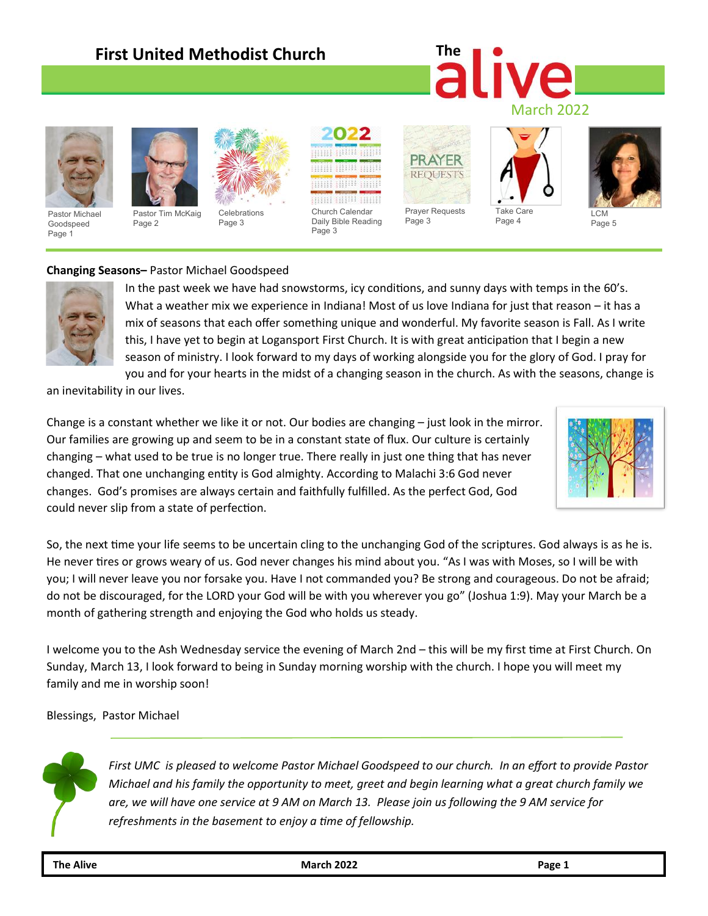### **First United Methodist Church**

## **The** March 2022



Pastor Michael Goodspeed Page 1



Pastor Tim McKaig Page 2



Celebrations Page 3



Page 3

AYER **REOUESTS** Prayer Requests

Page 3





Page 5

#### **Changing Seasons–** Pastor Michael Goodspeed



In the past week we have had snowstorms, icy conditions, and sunny days with temps in the 60's. What a weather mix we experience in Indiana! Most of us love Indiana for just that reason – it has a mix of seasons that each offer something unique and wonderful. My favorite season is Fall. As I write this, I have yet to begin at Logansport First Church. It is with great anticipation that I begin a new season of ministry. I look forward to my days of working alongside you for the glory of God. I pray for you and for your hearts in the midst of a changing season in the church. As with the seasons, change is

an inevitability in our lives.

Change is a constant whether we like it or not. Our bodies are changing – just look in the mirror. Our families are growing up and seem to be in a constant state of flux. Our culture is certainly changing – what used to be true is no longer true. There really in just one thing that has never changed. That one unchanging entity is God almighty. According to Malachi 3:6 God never changes. God's promises are always certain and faithfully fulfilled. As the perfect God, God could never slip from a state of perfection.



So, the next time your life seems to be uncertain cling to the unchanging God of the scriptures. God always is as he is. He never tires or grows weary of us. God never changes his mind about you. "As I was with Moses, so I will be with you; I will never leave you nor forsake you. Have I not commanded you? Be strong and courageous. Do not be afraid; do not be discouraged, for the LORD your God will be with you wherever you go" (Joshua 1:9). May your March be a month of gathering strength and enjoying the God who holds us steady.

I welcome you to the Ash Wednesday service the evening of March 2nd – this will be my first time at First Church. On Sunday, March 13, I look forward to being in Sunday morning worship with the church. I hope you will meet my family and me in worship soon!

Blessings, Pastor Michael



*First UMC is pleased to welcome Pastor Michael Goodspeed to our church. In an effort to provide Pastor Michael and his family the opportunity to meet, greet and begin learning what a great church family we are, we will have one service at 9 AM on March 13. Please join us following the 9 AM service for refreshments in the basement to enjoy a time of fellowship.*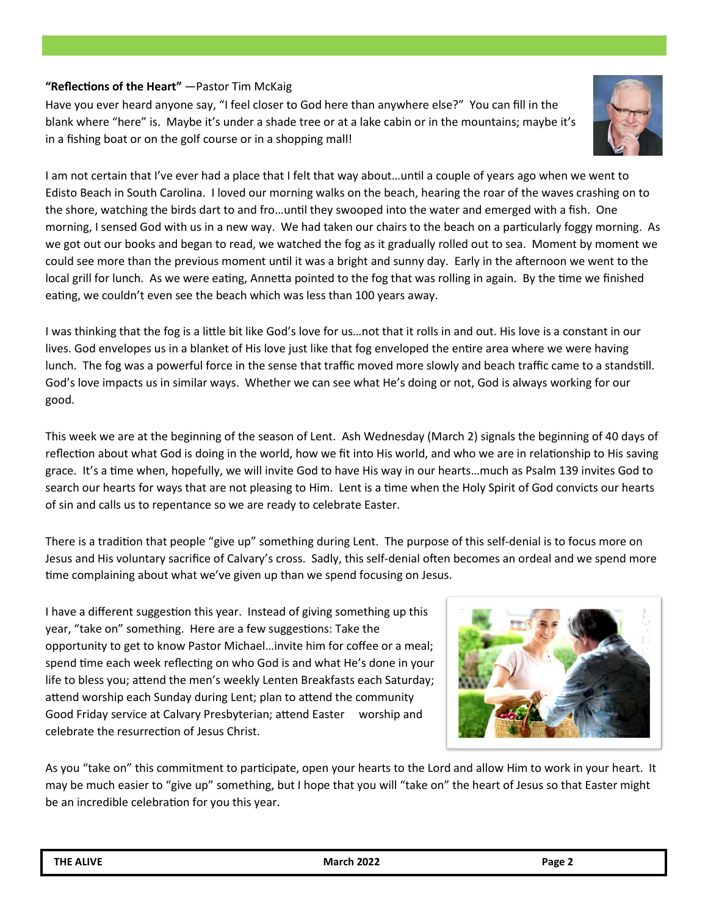#### **"Reflections of the Heart"** —Pastor Tim McKaig

Have you ever heard anyone say, "I feel closer to God here than anywhere else?" You can fill in the blank where "here" is. Maybe it's under a shade tree or at a lake cabin or in the mountains; maybe it's in a fishing boat or on the golf course or in a shopping mall!



I am not certain that I've ever had a place that I felt that way about…until a couple of years ago when we went to Edisto Beach in South Carolina. I loved our morning walks on the beach, hearing the roar of the waves crashing on to the shore, watching the birds dart to and fro…until they swooped into the water and emerged with a fish. One morning, I sensed God with us in a new way. We had taken our chairs to the beach on a particularly foggy morning. As we got out our books and began to read, we watched the fog as it gradually rolled out to sea. Moment by moment we could see more than the previous moment until it was a bright and sunny day. Early in the afternoon we went to the local grill for lunch. As we were eating, Annetta pointed to the fog that was rolling in again. By the time we finished eating, we couldn't even see the beach which was less than 100 years away.

I was thinking that the fog is a little bit like God's love for us…not that it rolls in and out. His love is a constant in our lives. God envelopes us in a blanket of His love just like that fog enveloped the entire area where we were having lunch. The fog was a powerful force in the sense that traffic moved more slowly and beach traffic came to a standstill. God's love impacts us in similar ways. Whether we can see what He's doing or not, God is always working for our good.

This week we are at the beginning of the season of Lent. Ash Wednesday (March 2) signals the beginning of 40 days of reflection about what God is doing in the world, how we fit into His world, and who we are in relationship to His saving grace. It's a time when, hopefully, we will invite God to have His way in our hearts…much as Psalm 139 invites God to search our hearts for ways that are not pleasing to Him. Lent is a time when the Holy Spirit of God convicts our hearts of sin and calls us to repentance so we are ready to celebrate Easter.

There is a tradition that people "give up" something during Lent. The purpose of this self-denial is to focus more on Jesus and His voluntary sacrifice of Calvary's cross. Sadly, this self-denial often becomes an ordeal and we spend more time complaining about what we've given up than we spend focusing on Jesus.

I have a different suggestion this year. Instead of giving something up this year, "take on" something. Here are a few suggestions: Take the opportunity to get to know Pastor Michael…invite him for coffee or a meal; spend time each week reflecting on who God is and what He's done in your life to bless you; attend the men's weekly Lenten Breakfasts each Saturday; attend worship each Sunday during Lent; plan to attend the community Good Friday service at Calvary Presbyterian; attend Easter worship and celebrate the resurrection of Jesus Christ.



As you "take on" this commitment to participate, open your hearts to the Lord and allow Him to work in your heart. It may be much easier to "give up" something, but I hope that you will "take on" the heart of Jesus so that Easter might be an incredible celebration for you this year.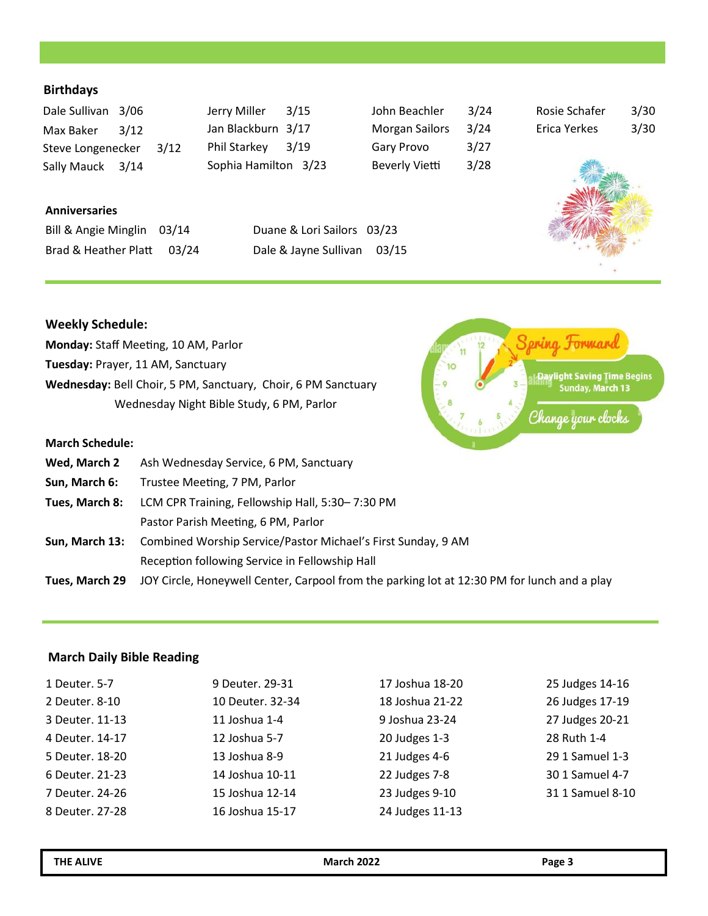#### **Birthdays**

| Dale Sullivan 3/06 |      |      |
|--------------------|------|------|
| Max Baker          | 3/12 |      |
| Steve Longenecker  |      | 3/12 |
| Sally Mauck 3/14   |      |      |

| Jerry Miller         | 3/15 |
|----------------------|------|
| Jan Blackburn 3/17   |      |
| Phil Starkey         | 3/19 |
| Sophia Hamilton 3/23 |      |

| John Beachler         | 3/24 |
|-----------------------|------|
| <b>Morgan Sailors</b> | 3/24 |
| <b>Gary Provo</b>     | 3/27 |
| <b>Beverly Vietti</b> | 3/28 |

| Rosie Schafer | 3/30 |
|---------------|------|
| Erica Yerkes  | 3/30 |



**| Daylight Saving Time Begins**<br>| Sunday, March 13

Change your clocks

Spring Formand

 $\overline{\mathbf{x}}$ 

#### **Anniversaries**  $\frac{1}{2}$ ill  $\frac{1}{2}$   $\frac{1}{2}$   $\frac{1}{2}$   $\frac{1}{2}$   $\frac{1}{2}$   $\frac{1}{2}$   $\frac{1}{2}$   $\frac{1}{2}$   $\frac{1}{2}$   $\frac{1}{2}$   $\frac{1}{2}$   $\frac{1}{2}$   $\frac{1}{2}$   $\frac{1}{2}$   $\frac{1}{2}$   $\frac{1}{2}$   $\frac{1}{2}$   $\frac{1}{2}$   $\frac{1}{2}$   $\frac{1}{2}$   $\frac{1}{2}$

| Bill & Angie Minglin 03/14 | Duane & Lori Sailors 03/23  |  |
|----------------------------|-----------------------------|--|
| Brad & Heather Platt 03/24 | Dale & Jayne Sullivan 03/15 |  |

#### **Weekly Schedule:**

| <b>Monday:</b> Staff Meeting, 10 AM, Parlor                   |
|---------------------------------------------------------------|
| Tuesday: Prayer, 11 AM, Sanctuary                             |
| Wednesday: Bell Choir, 5 PM, Sanctuary, Choir, 6 PM Sanctuary |
| Wednesday Night Bible Study, 6 PM, Parlor                     |

#### **March Schedule:**

| Wed, March 2   | Ash Wednesday Service, 6 PM, Sanctuary                                                      |
|----------------|---------------------------------------------------------------------------------------------|
| Sun, March 6:  | Trustee Meeting, 7 PM, Parlor                                                               |
| Tues, March 8: | LCM CPR Training, Fellowship Hall, 5:30-7:30 PM                                             |
|                | Pastor Parish Meeting, 6 PM, Parlor                                                         |
|                | Sun, March 13: Combined Worship Service/Pastor Michael's First Sunday, 9 AM                 |
|                | Reception following Service in Fellowship Hall                                              |
| Tues, March 29 | JOY Circle, Honeywell Center, Carpool from the parking lot at 12:30 PM for lunch and a play |
|                |                                                                                             |

#### **March Daily Bible Reading**

| 1 Deuter, 5-7   | 9 Deuter, 29-31  | 17 Joshua 18-20 | 25 Judges 14-16  |
|-----------------|------------------|-----------------|------------------|
| 2 Deuter. 8-10  | 10 Deuter, 32-34 | 18 Joshua 21-22 | 26 Judges 17-19  |
| 3 Deuter, 11-13 | 11 Joshua 1-4    | 9 Joshua 23-24  | 27 Judges 20-21  |
| 4 Deuter, 14-17 | 12 Joshua 5-7    | 20 Judges 1-3   | 28 Ruth 1-4      |
| 5 Deuter, 18-20 | 13 Joshua 8-9    | 21 Judges 4-6   | 29 1 Samuel 1-3  |
| 6 Deuter, 21-23 | 14 Joshua 10-11  | 22 Judges 7-8   | 30 1 Samuel 4-7  |
| 7 Deuter, 24-26 | 15 Joshua 12-14  | 23 Judges 9-10  | 31 1 Samuel 8-10 |
| 8 Deuter, 27-28 | 16 Joshua 15-17  | 24 Judges 11-13 |                  |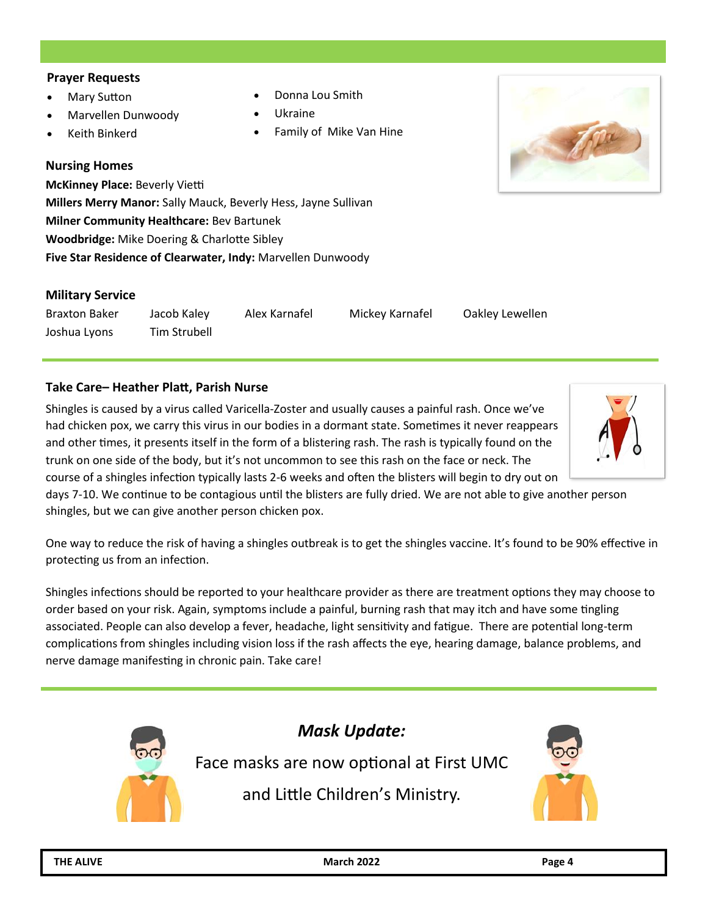#### **Prayer Requests**

- Mary Sutton
- Marvellen Dunwoody
- Keith Binkerd

#### **Nursing Homes**

**McKinney Place:** Beverly Vietti **Millers Merry Manor:** Sally Mauck, Beverly Hess, Jayne Sullivan **Milner Community Healthcare:** Bev Bartunek **Woodbridge:** Mike Doering & Charlotte Sibley **Five Star Residence of Clearwater, Indy:** Marvellen Dunwoody

#### **Military Service**

Braxton Baker Jacob Kaley Alex Karnafel Mickey Karnafel Oakley Lewellen Joshua Lyons Tim Strubell

#### **Take Care– Heather Platt, Parish Nurse**

Shingles is caused by a virus called Varicella-Zoster and usually causes a painful rash. Once we've had chicken pox, we carry this virus in our bodies in a dormant state. Sometimes it never reappears and other times, it presents itself in the form of a blistering rash. The rash is typically found on the trunk on one side of the body, but it's not uncommon to see this rash on the face or neck. The

course of a shingles infection typically lasts 2-6 weeks and often the blisters will begin to dry out on days 7-10. We continue to be contagious until the blisters are fully dried. We are not able to give another person shingles, but we can give another person chicken pox.

One way to reduce the risk of having a shingles outbreak is to get the shingles vaccine. It's found to be 90% effective in protecting us from an infection.

Shingles infections should be reported to your healthcare provider as there are treatment options they may choose to order based on your risk. Again, symptoms include a painful, burning rash that may itch and have some tingling associated. People can also develop a fever, headache, light sensitivity and fatigue. There are potential long-term complications from shingles including vision loss if the rash affects the eye, hearing damage, balance problems, and nerve damage manifesting in chronic pain. Take care!



#### • Donna Lou Smith

- Ukraine
- Family of Mike Van Hine



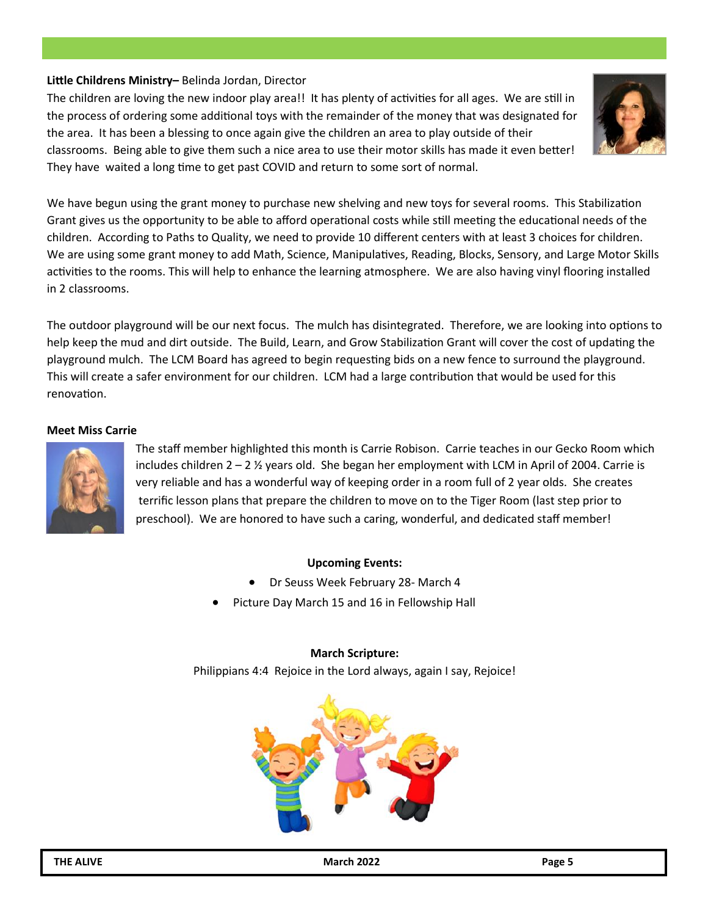#### **Little Childrens Ministry–** Belinda Jordan, Director

The children are loving the new indoor play area!! It has plenty of activities for all ages. We are still in the process of ordering some additional toys with the remainder of the money that was designated for the area. It has been a blessing to once again give the children an area to play outside of their classrooms. Being able to give them such a nice area to use their motor skills has made it even better! They have waited a long time to get past COVID and return to some sort of normal.



We have begun using the grant money to purchase new shelving and new toys for several rooms. This Stabilization Grant gives us the opportunity to be able to afford operational costs while still meeting the educational needs of the children. According to Paths to Quality, we need to provide 10 different centers with at least 3 choices for children. We are using some grant money to add Math, Science, Manipulatives, Reading, Blocks, Sensory, and Large Motor Skills activities to the rooms. This will help to enhance the learning atmosphere. We are also having vinyl flooring installed in 2 classrooms.

The outdoor playground will be our next focus. The mulch has disintegrated. Therefore, we are looking into options to help keep the mud and dirt outside. The Build, Learn, and Grow Stabilization Grant will cover the cost of updating the playground mulch. The LCM Board has agreed to begin requesting bids on a new fence to surround the playground. This will create a safer environment for our children. LCM had a large contribution that would be used for this renovation.

#### **Meet Miss Carrie**



The staff member highlighted this month is Carrie Robison. Carrie teaches in our Gecko Room which includes children  $2 - 2$  % years old. She began her employment with LCM in April of 2004. Carrie is very reliable and has a wonderful way of keeping order in a room full of 2 year olds. She creates terrific lesson plans that prepare the children to move on to the Tiger Room (last step prior to preschool). We are honored to have such a caring, wonderful, and dedicated staff member!

#### **Upcoming Events:**

- Dr Seuss Week February 28- March 4
- Picture Day March 15 and 16 in Fellowship Hall

#### **March Scripture:**

Philippians 4:4 Rejoice in the Lord always, again I say, Rejoice!